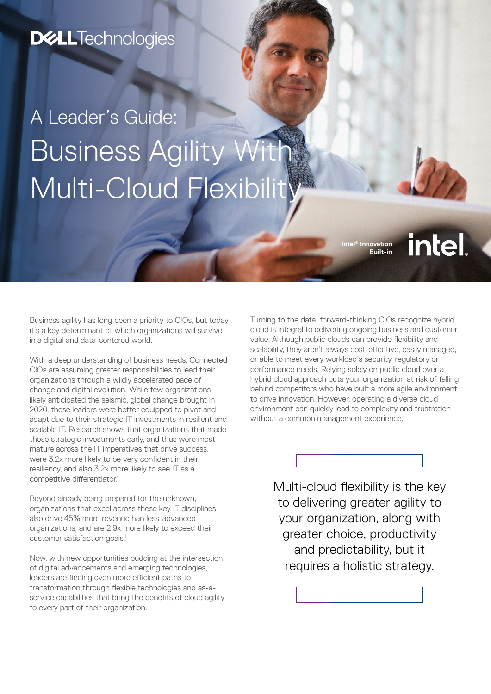## **D&LLTechnologies**

# A Leader's Guide: Business Agility With Multi-Cloud Flexibility

**Intel® Innovation Built-in** **intel** 

Business agility has long been a priority to CIOs, but today it's a key determinant of which organizations will survive in a digital and data-centered world.

With a deep understanding of business needs, Connected CIOs are assuming greater responsibilities to lead their organizations through a wildly accelerated pace of change and digital evolution. While few organizations likely anticipated the seismic, global change brought in 2020, these leaders were better equipped to pivot and adapt due to their strategic IT investments in resilient and scalable IT. Research shows that organizations that made these strategic investments early, and thus were most mature across the IT imperatives that drive success. were 3.2x more likely to be very confident in their resiliency, and also 3.2x more likely to see IT as a competitive differentiator.<sup>1</sup>

Beyond already being prepared for the unknown, organizations that excel across these key IT disciplines also drive 45% more revenue han less-advanced organizations, and are 2.9x more likely to exceed their customer satisfaction goals.<sup>1</sup>

Now, with new opportunities budding at the intersection of digital advancements and emerging technologies, leaders are finding even more efficient paths to transformation through flexible technologies and as-aservice capabilities that bring the benefits of cloud agility to every part of their organization.

Turning to the data, forward-thinking CIOs recognize hybrid cloud is integral to delivering ongoing business and customer value. Although public clouds can provide flexibility and scalability, they aren't always cost-effective, easily managed, or able to meet every workload's security, regulatory or performance needs. Relying solely on public cloud over a hybrid cloud approach puts your organization at risk of falling behind competitors who have built a more agile environment to drive innovation. However, operating a diverse cloud environment can quickly lead to complexity and frustration without a common management experience.

> Multi-cloud flexibility is the key to delivering greater agility to your organization, along with greater choice, productivity and predictability, but it requires a holistic strategy.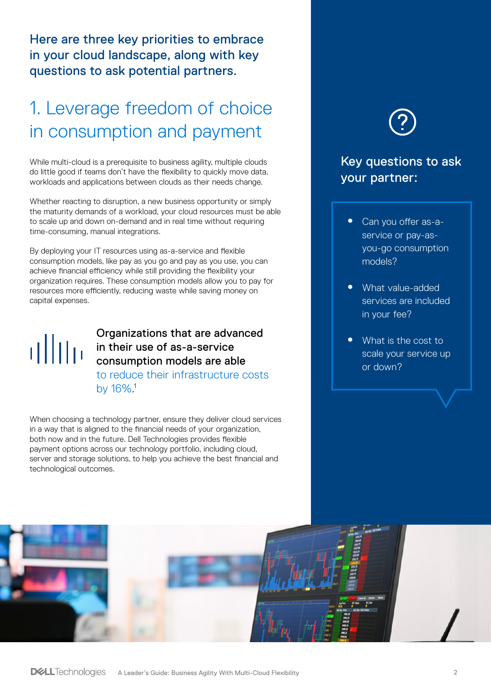Here are three key priorities to embrace in your cloud landscape, along with key questions to ask potential partners.

## 1. Leverage freedom of choice in consumption and payment

While multi-cloud is a prerequisite to business agility, multiple clouds do little good if teams don't have the flexibility to quickly move data, workloads and applications between clouds as their needs change.

Whether reacting to disruption, a new business opportunity or simply the maturity demands of a workload, your cloud resources must be able to scale up and down on-demand and in real time without requiring time-consuming, manual integrations.

By deploying your IT resources using as-a-service and flexible consumption models, like pay as you go and pay as you use, you can achieve financial efficiency while still providing the flexibility your organization requires. These consumption models allow you to pay for resources more efficiently, reducing waste while saving money on capital expenses.

# allua

#### Organizations that are advanced in their use of as-a-service consumption models are able

to reduce their infrastructure costs by 16%. 1

When choosing a technology partner, ensure they deliver cloud services in a way that is aligned to the financial needs of your organization, both now and in the future. Dell Technologies provides flexible payment options across our technology portfolio, including cloud, server and storage solutions, to help you achieve the best financial and technological outcomes.

### Key questions to ask your partner:

- Can you offer as-aservice or pay-asyou-go consumption models?
- What value-added services are included in your fee?
- What is the cost to scale your service up or down?

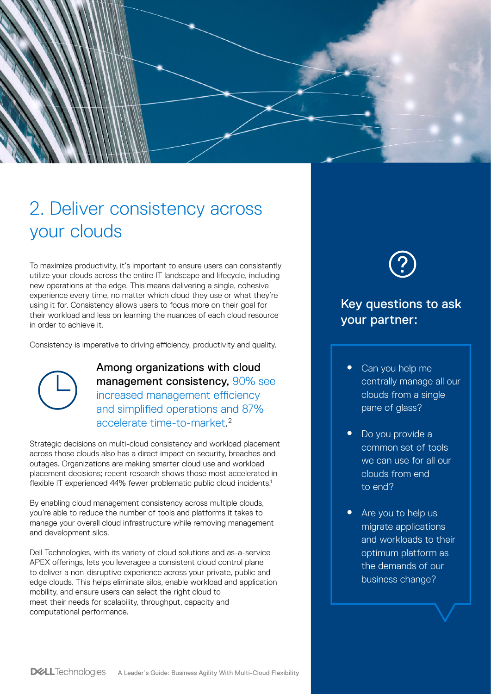

## 2. Deliver consistency across your clouds

To maximize productivity, it's important to ensure users can consistently utilize your clouds across the entire IT landscape and lifecycle, including new operations at the edge. This means delivering a single, cohesive experience every time, no matter which cloud they use or what they're using it for. Consistency allows users to focus more on their goal for their workload and less on learning the nuances of each cloud resource in order to achieve it.

Consistency is imperative to driving efficiency, productivity and quality.



Among organizations with cloud management consistency, 90% see increased management efficiency and simplified operations and 87% accelerate time-to-market. 2

Strategic decisions on multi-cloud consistency and workload placement across those clouds also has a direct impact on security, breaches and outages. Organizations are making smarter cloud use and workload placement decisions; recent research shows those most accelerated in flexible IT experienced 44% fewer problematic public cloud incidents.<sup>1</sup>

By enabling cloud management consistency across multiple clouds, you're able to reduce the number of tools and platforms it takes to manage your overall cloud infrastructure while removing management and development silos.

Dell Technologies, with its variety of cloud solutions and as-a-service APEX offerings, lets you leveragee a consistent cloud control plane to deliver a non-disruptive experience across your private, public and edge clouds. This helps eliminate silos, enable workload and application mobility, and ensure users can select the right cloud to meet their needs for scalability, throughput, capacity and computational performance.



#### Key questions to ask your partner:

- Can you help me centrally manage all our clouds from a single pane of glass?
- Do you provide a common set of tools we can use for all our clouds from end to end?
- Are you to help us migrate applications and workloads to their optimum platform as the demands of our business change?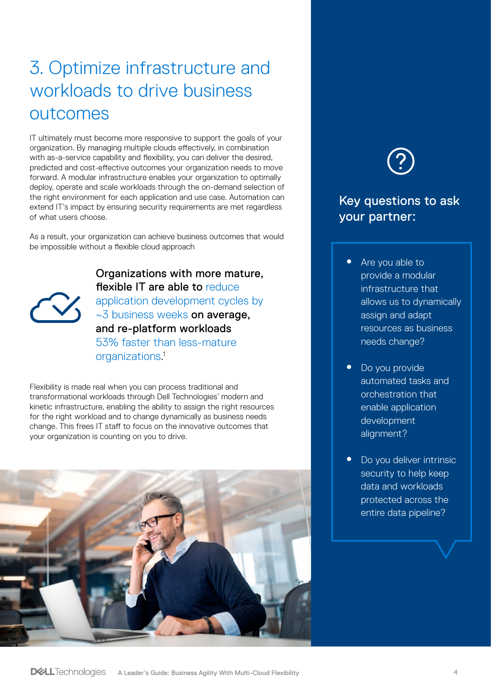## 3. Optimize infrastructure and workloads to drive business outcomes

IT ultimately must become more responsive to support the goals of your organization. By managing multiple clouds effectively, in combination with as-a-service capability and flexibility, you can deliver the desired, predicted and cost-effective outcomes your organization needs to move forward. A modular infrastructure enables your organization to optimally deploy, operate and scale workloads through the on-demand selection of the right environment for each application and use case. Automation can extend IT's impact by ensuring security requirements are met regardless of what users choose.

As a result, your organization can achieve business outcomes that would be impossible without a flexible cloud approach



Organizations with more mature, flexible IT are able to reduce application development cycles by ~3 business weeks on average, and re-platform workloads 53% faster than less-mature organizations. 1

Flexibility is made real when you can process traditional and transformational workloads through Dell Technologies' modern and kinetic infrastructure, enabling the ability to assign the right resources for the right workload and to change dynamically as business needs change. This frees IT staff to focus on the innovative outcomes that your organization is counting on you to drive.



### Key questions to ask your partner:

- Are you able to provide a modular infrastructure that allows us to dynamically assign and adapt resources as business needs change?
- Do you provide automated tasks and orchestration that enable application development alignment?
- Do you deliver intrinsic security to help keep data and workloads protected across the entire data pipeline?